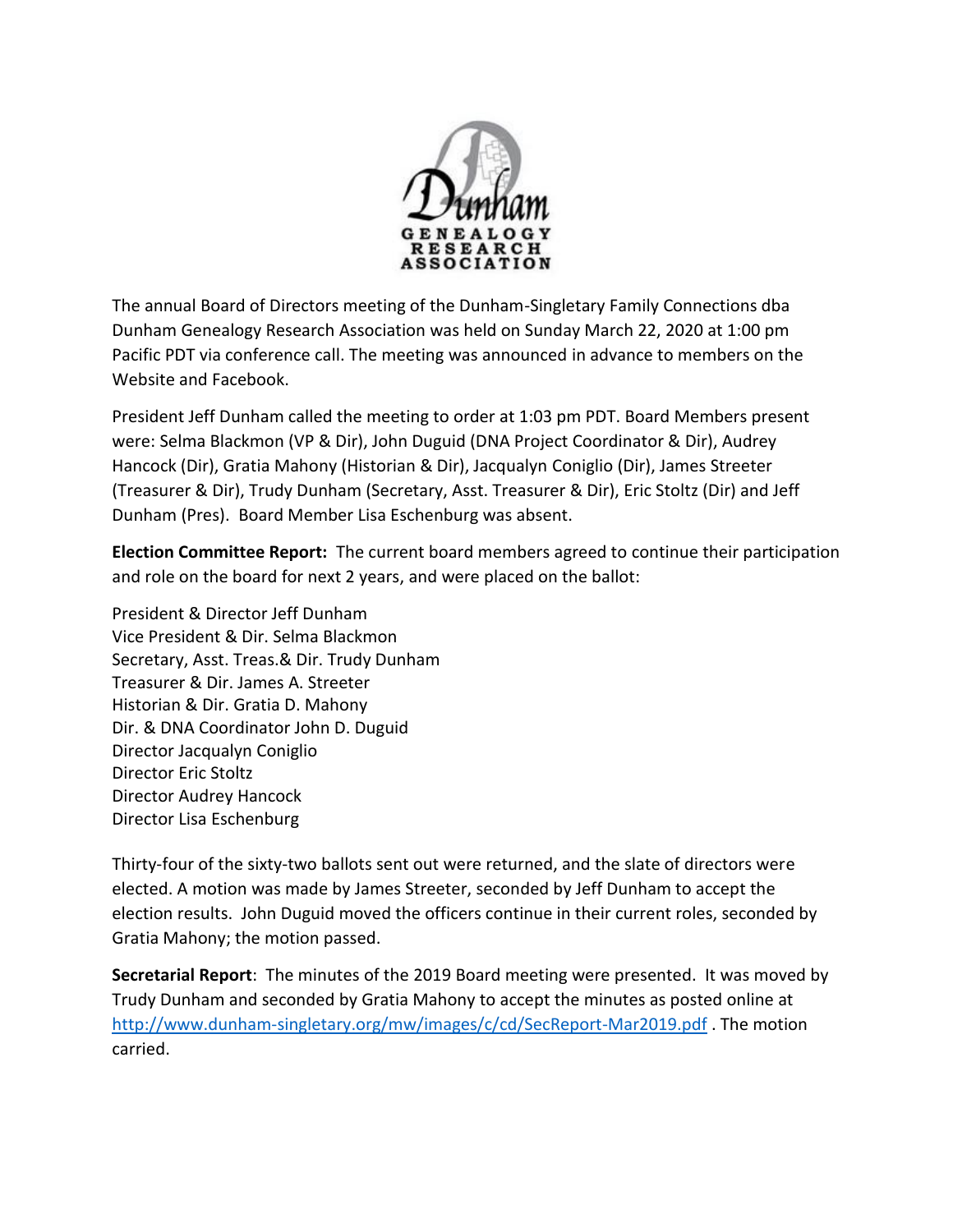

The annual Board of Directors meeting of the Dunham-Singletary Family Connections dba Dunham Genealogy Research Association was held on Sunday March 22, 2020 at 1:00 pm Pacific PDT via conference call. The meeting was announced in advance to members on the Website and Facebook.

President Jeff Dunham called the meeting to order at 1:03 pm PDT. Board Members present were: Selma Blackmon (VP & Dir), John Duguid (DNA Project Coordinator & Dir), Audrey Hancock (Dir), Gratia Mahony (Historian & Dir), Jacqualyn Coniglio (Dir), James Streeter (Treasurer & Dir), Trudy Dunham (Secretary, Asst. Treasurer & Dir), Eric Stoltz (Dir) and Jeff Dunham (Pres). Board Member Lisa Eschenburg was absent.

**Election Committee Report:** The current board members agreed to continue their participation and role on the board for next 2 years, and were placed on the ballot:

President & Director Jeff Dunham Vice President & Dir. Selma Blackmon Secretary, Asst. Treas.& Dir. Trudy Dunham Treasurer & Dir. James A. Streeter Historian & Dir. Gratia D. Mahony Dir. & DNA Coordinator John D. Duguid Director Jacqualyn Coniglio Director Eric Stoltz Director Audrey Hancock Director Lisa Eschenburg

Thirty-four of the sixty-two ballots sent out were returned, and the slate of directors were elected. A motion was made by James Streeter, seconded by Jeff Dunham to accept the election results. John Duguid moved the officers continue in their current roles, seconded by Gratia Mahony; the motion passed.

**Secretarial Report**: The minutes of the 2019 Board meeting were presented. It was moved by Trudy Dunham and seconded by Gratia Mahony to accept the minutes as posted online at <http://www.dunham-singletary.org/mw/images/c/cd/SecReport-Mar2019.pdf> . The motion carried.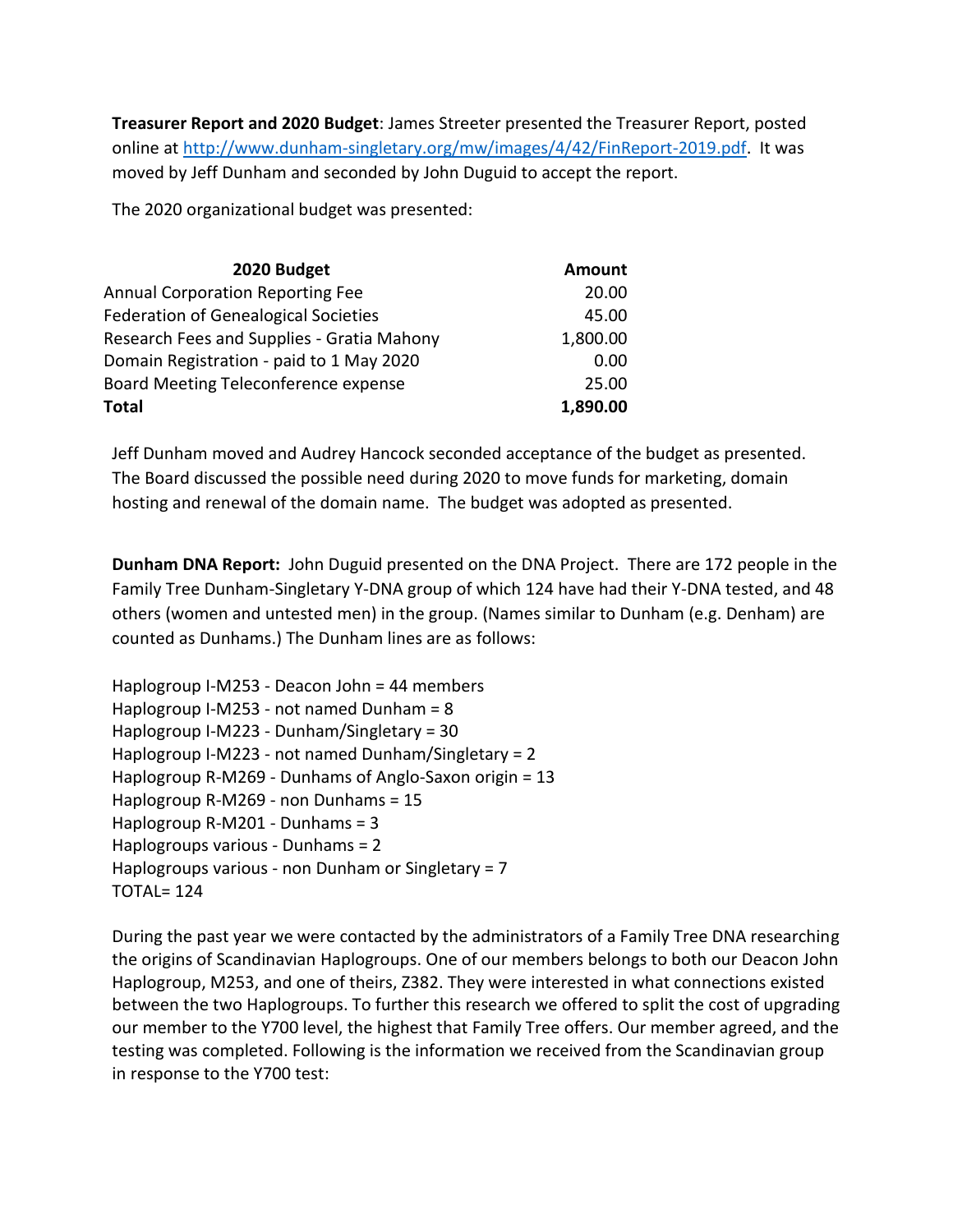**Treasurer Report and 2020 Budget**: James Streeter presented the Treasurer Report, posted online at [http://www.dunham-singletary.org/mw/images/4/42/FinReport-2019.pdf.](http://www.dunham-singletary.org/mw/images/4/42/FinReport-2019.pdf) It was moved by Jeff Dunham and seconded by John Duguid to accept the report.

The 2020 organizational budget was presented:

| 2020 Budget                                 | <b>Amount</b> |
|---------------------------------------------|---------------|
| <b>Annual Corporation Reporting Fee</b>     | 20.00         |
| <b>Federation of Genealogical Societies</b> | 45.00         |
| Research Fees and Supplies - Gratia Mahony  | 1,800.00      |
| Domain Registration - paid to 1 May 2020    | 0.00          |
| Board Meeting Teleconference expense        | 25.00         |
| <b>Total</b>                                | 1,890.00      |

Jeff Dunham moved and Audrey Hancock seconded acceptance of the budget as presented. The Board discussed the possible need during 2020 to move funds for marketing, domain hosting and renewal of the domain name. The budget was adopted as presented.

**Dunham DNA Report:** John Duguid presented on the DNA Project. There are 172 people in the Family Tree Dunham-Singletary Y-DNA group of which 124 have had their Y-DNA tested, and 48 others (women and untested men) in the group. (Names similar to Dunham (e.g. Denham) are counted as Dunhams.) The Dunham lines are as follows:

| Haplogroup I-M253 - Deacon John = 44 members           |
|--------------------------------------------------------|
| Haplogroup I-M253 - not named Dunham = 8               |
| Haplogroup I-M223 - Dunham/Singletary = 30             |
| Haplogroup I-M223 - not named Dunham/Singletary = 2    |
| Haplogroup R-M269 - Dunhams of Anglo-Saxon origin = 13 |
| Haplogroup R-M269 - non Dunhams = 15                   |
| Haplogroup R-M201 - Dunhams = 3                        |
| Haplogroups various - Dunhams = 2                      |
| Haplogroups various - non Dunham or Singletary = 7     |
| <b>TOTAL= 124</b>                                      |

During the past year we were contacted by the administrators of a Family Tree DNA researching the origins of Scandinavian Haplogroups. One of our members belongs to both our Deacon John Haplogroup, M253, and one of theirs, Z382. They were interested in what connections existed between the two Haplogroups. To further this research we offered to split the cost of upgrading our member to the Y700 level, the highest that Family Tree offers. Our member agreed, and the testing was completed. Following is the information we received from the Scandinavian group in response to the Y700 test: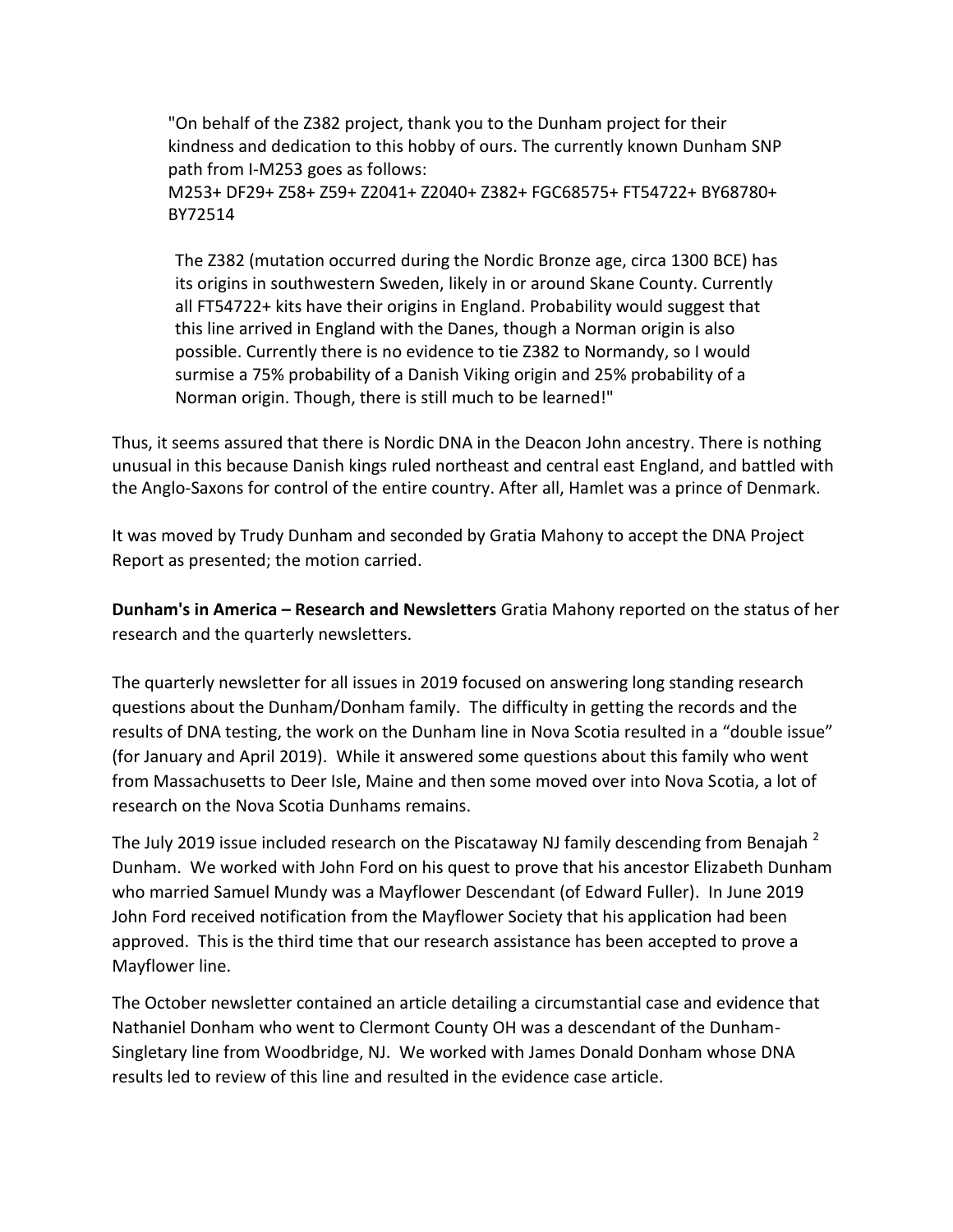"On behalf of the Z382 project, thank you to the Dunham project for their kindness and dedication to this hobby of ours. The currently known Dunham SNP path from I-M253 goes as follows:

M253+ DF29+ Z58+ Z59+ Z2041+ Z2040+ Z382+ FGC68575+ FT54722+ BY68780+ BY72514

The Z382 (mutation occurred during the Nordic Bronze age, circa 1300 BCE) has its origins in southwestern Sweden, likely in or around Skane County. Currently all FT54722+ kits have their origins in England. Probability would suggest that this line arrived in England with the Danes, though a Norman origin is also possible. Currently there is no evidence to tie Z382 to Normandy, so I would surmise a 75% probability of a Danish Viking origin and 25% probability of a Norman origin. Though, there is still much to be learned!"

Thus, it seems assured that there is Nordic DNA in the Deacon John ancestry. There is nothing unusual in this because Danish kings ruled northeast and central east England, and battled with the Anglo-Saxons for control of the entire country. After all, Hamlet was a prince of Denmark.

It was moved by Trudy Dunham and seconded by Gratia Mahony to accept the DNA Project Report as presented; the motion carried.

**Dunham's in America – Research and Newsletters** Gratia Mahony reported on the status of her research and the quarterly newsletters.

The quarterly newsletter for all issues in 2019 focused on answering long standing research questions about the Dunham/Donham family. The difficulty in getting the records and the results of DNA testing, the work on the Dunham line in Nova Scotia resulted in a "double issue" (for January and April 2019). While it answered some questions about this family who went from Massachusetts to Deer Isle, Maine and then some moved over into Nova Scotia, a lot of research on the Nova Scotia Dunhams remains.

The July 2019 issue included research on the Piscataway NJ family descending from Benajah<sup>2</sup> Dunham. We worked with John Ford on his quest to prove that his ancestor Elizabeth Dunham who married Samuel Mundy was a Mayflower Descendant (of Edward Fuller). In June 2019 John Ford received notification from the Mayflower Society that his application had been approved. This is the third time that our research assistance has been accepted to prove a Mayflower line.

The October newsletter contained an article detailing a circumstantial case and evidence that Nathaniel Donham who went to Clermont County OH was a descendant of the Dunham-Singletary line from Woodbridge, NJ. We worked with James Donald Donham whose DNA results led to review of this line and resulted in the evidence case article.